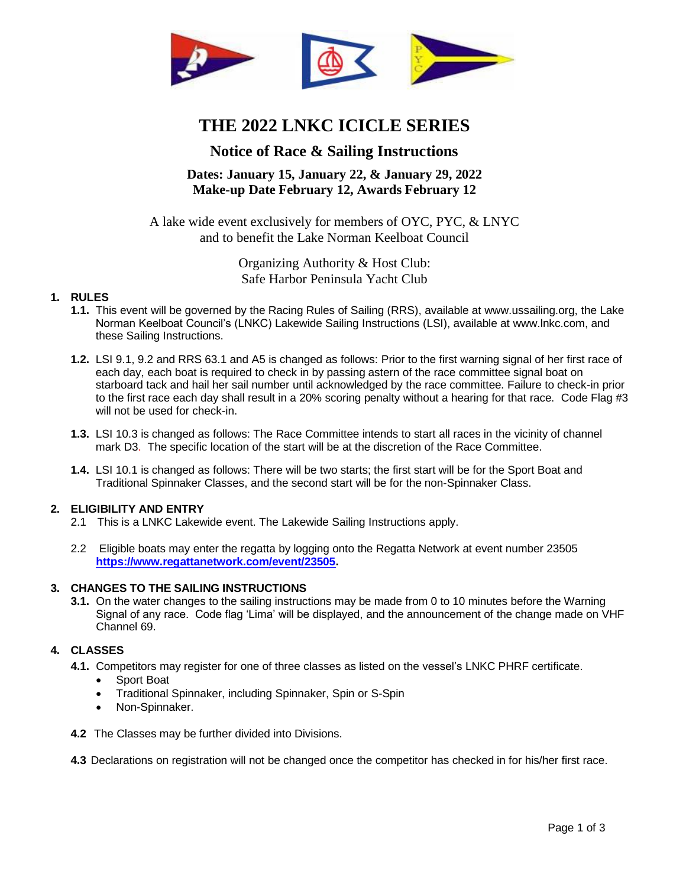

# **THE 2022 LNKC ICICLE SERIES**

# **Notice of Race & Sailing Instructions**

# **Dates: January 15, January 22, & January 29, 2022 Make-up Date February 12, Awards February 12**

A lake wide event exclusively for members of OYC, PYC, & LNYC and to benefit the Lake Norman Keelboat Council

> Organizing Authority & Host Club: Safe Harbor Peninsula Yacht Club

# **1. RULES**

- **1.1.** This event will be governed by the Racing Rules of Sailing (RRS), available at www.ussailing.org, the Lake Norman Keelboat Council's (LNKC) Lakewide Sailing Instructions (LSI), available at www.lnkc.com, and these Sailing Instructions.
- **1.2.** LSI 9.1, 9.2 and RRS 63.1 and A5 is changed as follows: Prior to the first warning signal of her first race of each day, each boat is required to check in by passing astern of the race committee signal boat on starboard tack and hail her sail number until acknowledged by the race committee. Failure to check-in prior to the first race each day shall result in a 20% scoring penalty without a hearing for that race. Code Flag #3 will not be used for check-in.
- **1.3.** LSI 10.3 is changed as follows: The Race Committee intends to start all races in the vicinity of channel mark D3. The specific location of the start will be at the discretion of the Race Committee.
- **1.4.** LSI 10.1 is changed as follows: There will be two starts; the first start will be for the Sport Boat and Traditional Spinnaker Classes, and the second start will be for the non-Spinnaker Class.

# **2. ELIGIBILITY AND ENTRY**

- 2.1 This is a LNKC Lakewide event. The Lakewide Sailing Instructions apply.
- 2.2 Eligible boats may enter the regatta by logging onto the Regatta Network at event number 23505 **[https://www.regattanetwork.com/event/23505.](https://www.regattanetwork.com/event/23505)**

#### **3. CHANGES TO THE SAILING INSTRUCTIONS**

**3.1.** On the water changes to the sailing instructions may be made from 0 to 10 minutes before the Warning Signal of any race. Code flag 'Lima' will be displayed, and the announcement of the change made on VHF Channel 69.

# **4. CLASSES**

**4.1.** Competitors may register for one of three classes as listed on the vessel's LNKC PHRF certificate.

- Sport Boat
- Traditional Spinnaker, including Spinnaker, Spin or S-Spin
- Non-Spinnaker.
- **4.2** The Classes may be further divided into Divisions.

**4.3** Declarations on registration will not be changed once the competitor has checked in for his/her first race.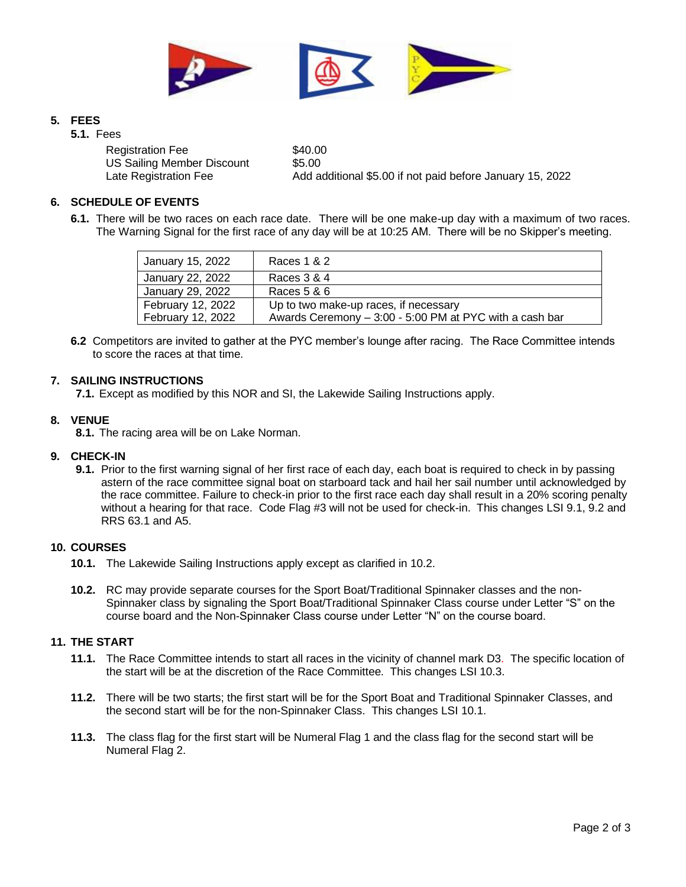

# **5. FEES**

**5.1.** Fees

Registration Fee \$40.00 US Sailing Member Discount \$5.00

Late Registration Fee Add additional \$5.00 if not paid before January 15, 2022

# **6. SCHEDULE OF EVENTS**

**6.1.** There will be two races on each race date. There will be one make-up day with a maximum of two races. The Warning Signal for the first race of any day will be at 10:25 AM. There will be no Skipper's meeting.

| January 15, 2022  | Races 1 & 2                                             |
|-------------------|---------------------------------------------------------|
| January 22, 2022  | Races 3 & 4                                             |
| January 29, 2022  | Races 5 & 6                                             |
| February 12, 2022 | Up to two make-up races, if necessary                   |
| February 12, 2022 | Awards Ceremony - 3:00 - 5:00 PM at PYC with a cash bar |

**6.2** Competitors are invited to gather at the PYC member's lounge after racing. The Race Committee intends to score the races at that time.

#### **7. SAILING INSTRUCTIONS**

**7.1.** Except as modified by this NOR and SI, the Lakewide Sailing Instructions apply.

#### **8. VENUE**

**8.1.** The racing area will be on Lake Norman.

# **9. CHECK-IN**

**9.1.** Prior to the first warning signal of her first race of each day, each boat is required to check in by passing astern of the race committee signal boat on starboard tack and hail her sail number until acknowledged by the race committee. Failure to check-in prior to the first race each day shall result in a 20% scoring penalty without a hearing for that race. Code Flag #3 will not be used for check-in. This changes LSI 9.1, 9.2 and RRS 63.1 and A5.

#### **10. COURSES**

- **10.1.** The Lakewide Sailing Instructions apply except as clarified in 10.2.
- **10.2.** RC may provide separate courses for the Sport Boat/Traditional Spinnaker classes and the non-Spinnaker class by signaling the Sport Boat/Traditional Spinnaker Class course under Letter "S" on the course board and the Non-Spinnaker Class course under Letter "N" on the course board.

# **11. THE START**

- **11.1.** The Race Committee intends to start all races in the vicinity of channel mark D3. The specific location of the start will be at the discretion of the Race Committee. This changes LSI 10.3.
- **11.2.** There will be two starts; the first start will be for the Sport Boat and Traditional Spinnaker Classes, and the second start will be for the non-Spinnaker Class. This changes LSI 10.1.
- **11.3.** The class flag for the first start will be Numeral Flag 1 and the class flag for the second start will be Numeral Flag 2.